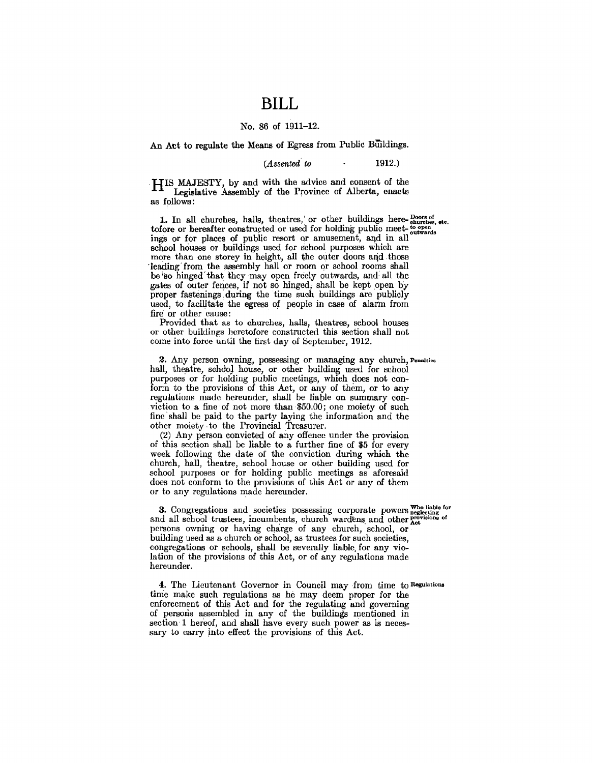### **BILL**

#### No. 86 of 1911-12.

An Act to regulate the Means of Egress from Public Buildings.

 $(Assended to$  1912.)

. HIS MAJESTY, by and with the advice and consent of the Legislative Assembly of the Province of Alberta, enacts as follows:

**1.** In all churches, halls, theatres,' or other buildings here- $\frac{D_{\text{cor}}}{\text{subtr}_{\text{obs}}}$ , etc.<br>tofore or hereafter constructed or used for holding public meet- $\frac{L_{\text{cor}}}{2}$ . tofore or hereafter constructed or used for holding public meet- $_{\text{outwards}}^{to \text{ open}}$ ings or for places of public resort or amusement, and in all school houses or buildings used for school purposes which are more than one storey in height, all the outer doors and those leading from the assembly hall or room or school rooms shall be so hinged that they may open freely outwards, and all the gates of outer fences, if not so hinged, shall be kept open by proper fastenings during the time such buildings are publicly used, to facilitate the egress of people in case of alarm from fire or other cause:

Provided that as to churches, halls, theatres, school houses or other buildings heretofore constructed this section shall not come into force until the first day of September, 1912.

2. Any person owning, possessing or managing any church, Peaalties hall, theatre, school house, or other building used for school purposes or for holding public meetings, which does not conform to the provisions of this Act, or any of them, or to any regulations made hereunder, shall be liable on summary conviction to a fine of not more than  $$50.00$ ; one moiety of such fine shall be paid to the party laying the information and the other moiety to the Provincial Treasurer.

(2) Any person convicted of any offence under the provision of this section shall be liable to a further fine of \$5 for every week following the date of the conviction during which the church, hall, theatre, school house or other building used for school purposes or for holding public meetings as aforesaid does not conform to the provisions of this Act or any of them or to any regulations made hereunder.

3. Congregations and societies possessing corporate powers who liable for the localing corporate provisions of and all school trustees, incumbents, church wardens and other het persons owning or having charge of any church, school, or building used as a church or school, as trustees for such societies, congregations or schools, shall be severally liable. for any violation of the provisions of this Act, or of any regulations made hereunder.

4. The Lieutenant Governor in Council may ·from time to Regulations time make such regulations as he may deem proper for the enforcement of this Act and for the regulating and governing of persons assembled in any of the buildings mentioned in section 1 hereof, and shall have every such power as is necessary to carry into effect the provisions of this Act.